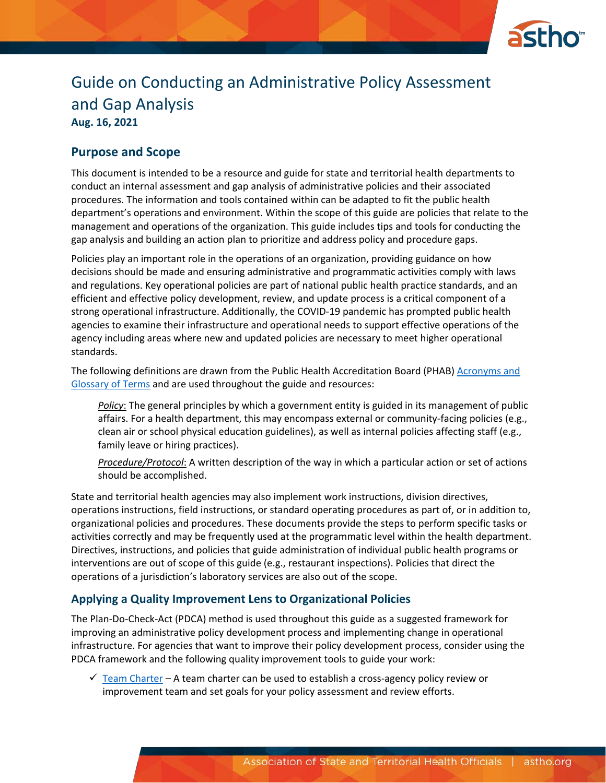

# Guide on Conducting an Administrative Policy Assessment and Gap Analysis **Aug. 16, 2021**

## **Purpose and Scope**

This document is intended to be a resource and guide for state and territorial health departments to conduct an internal assessment and gap analysis of administrative policies and their associated procedures. The information and tools contained within can be adapted to fit the public health department's operations and environment. Within the scope of this guide are policies that relate to the management and operations of the organization. This guide includes tips and tools for conducting the gap analysis and building an action plan to prioritize and address policy and procedure gaps.

Policies play an important role in the operations of an organization, providing guidance on how decisions should be made and ensuring administrative and programmatic activities comply with laws and regulations. Key operational policies are part of national public health practice standards, and an efficient and effective policy development, review, and update process is a critical component of a strong operational infrastructure. Additionally, the COVID-19 pandemic has prompted public health agencies to examine their infrastructure and operational needs to support effective operations of the agency including areas where new and updated policies are necessary to meet higher operational standards.

The following definitions are drawn from the Public Health Accreditation Board (PHAB) [Acronyms and](https://phaboard.org/wp-content/uploads/2018/11/FINAL_PHAB-Acronyms-and-Glossary-of-Terms-Version-1.5.pdf)  [Glossary of Terms](https://phaboard.org/wp-content/uploads/2018/11/FINAL_PHAB-Acronyms-and-Glossary-of-Terms-Version-1.5.pdf) and are used throughout the guide and resources:

*Policy*: The general principles by which a government entity is guided in its management of public affairs. For a health department, this may encompass external or community-facing policies (e.g., clean air or school physical education guidelines), as well as internal policies affecting staff (e.g., family leave or hiring practices).

*Procedure/Protocol*: A written description of the way in which a particular action or set of actions should be accomplished.

State and territorial health agencies may also implement work instructions, division directives, operations instructions, field instructions, or standard operating procedures as part of, or in addition to, organizational policies and procedures. These documents provide the steps to perform specific tasks or activities correctly and may be frequently used at the programmatic level within the health department. Directives, instructions, and policies that guide administration of individual public health programs or interventions are out of scope of this guide (e.g., restaurant inspections). Policies that direct the operations of a jurisdiction's laboratory services are also out of the scope.

## **Applying a Quality Improvement Lens to Organizational Policies**

The Plan-Do-Check-Act (PDCA) method is used throughout this guide as a suggested framework for improving an administrative policy development process and implementing change in operational infrastructure. For agencies that want to improve their policy development process, consider using the PDCA framework and the following quality improvement tools to guide your work:

 $\checkmark$  [Team Charter](https://www.astho.org/globalassets/pdf/accreditation/performance-gap-analysis/project-team-charter-template.docx) – A team charter can be used to establish a cross-agency policy review or improvement team and set goals for your policy assessment and review efforts.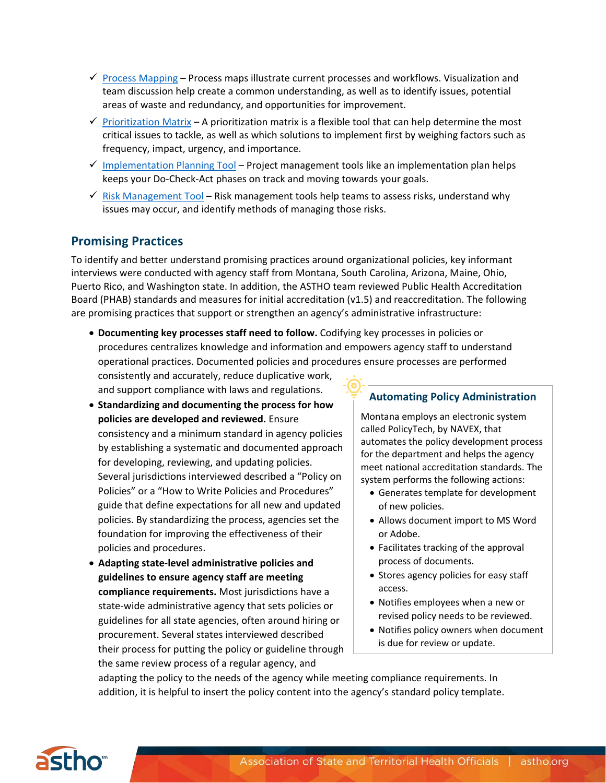- $\checkmark$  [Process Mapping](https://www.astho.org/globalassets/pdf/accreditation/performance-gap-analysis/process-map.docx)  Process maps illustrate current processes and workflows. Visualization and team discussion help create a common understanding, as well as to identify issues, potential areas of waste and redundancy, and opportunities for improvement.
- $\checkmark$  [Prioritization](https://www.astho.org/globalassets/pdf/accreditation/performance-gap-analysis/priority-matrix.docx) Matrix A prioritization matrix is a flexible tool that can help determine the most critical issues to tackle, as well as which solutions to implement first by weighing factors such as frequency, impact, urgency, and importance.
- $\checkmark$  [Implementation Planning Tool](https://www.astho.org/globalassets/pdf/accreditation/performance-gap-analysis/administrative-policy-gap-analysis-implementation-plan.xlsx)  Project management tools like an implementation plan helps keeps your Do-Check-Act phases on track and moving towards your goals.
- $\checkmark$  [Risk Management Tool](https://www.astho.org/globalassets/pdf/accreditation/performance-gap-analysis/risk-management-assessment-and-planning-tool.docx)  Risk management tools help teams to assess risks, understand why issues may occur, and identify methods of managing those risks.

## **Promising Practices**

To identify and better understand promising practices around organizational policies, key informant interviews were conducted with agency staff from Montana, South Carolina, Arizona, Maine, Ohio, Puerto Rico, and Washington state. In addition, the ASTHO team reviewed Public Health Accreditation Board (PHAB) standards and measures for initial accreditation (v1.5) and reaccreditation. The following are promising practices that support or strengthen an agency's administrative infrastructure:

• **Documenting key processes staff need to follow.** Codifying key processes in policies or procedures centralizes knowledge and information and empowers agency staff to understand operational practices. Documented policies and procedures ensure processes are performed

consistently and accurately, reduce duplicative work, and support compliance with laws and regulations.

- **Standardizing and documenting the process for how policies are developed and reviewed.** Ensure consistency and a minimum standard in agency policies by establishing a systematic and documented approach for developing, reviewing, and updating policies. Several jurisdictions interviewed described a "Policy on Policies" or a "How to Write Policies and Procedures" guide that define expectations for all new and updated policies. By standardizing the process, agencies set the foundation for improving the effectiveness of their policies and procedures.
- **Adapting state-level administrative policies and guidelines to ensure agency staff are meeting compliance requirements.** Most jurisdictions have a state-wide administrative agency that sets policies or guidelines for all state agencies, often around hiring or procurement. Several states interviewed described their process for putting the policy or guideline through the same review process of a regular agency, and

## **Automating Policy Administration**

Montana employs an electronic system called PolicyTech, by NAVEX, that automates the policy development process for the department and helps the agency meet national accreditation standards. The system performs the following actions:

- Generates template for development of new policies.
- Allows document import to MS Word or Adobe.
- Facilitates tracking of the approval process of documents.
- Stores agency policies for easy staff access.
- Notifies employees when a new or revised policy needs to be reviewed.
- Notifies policy owners when document is due for review or update.

adapting the policy to the needs of the agency while meeting compliance requirements. In addition, it is helpful to insert the policy content into the agency's standard policy template.

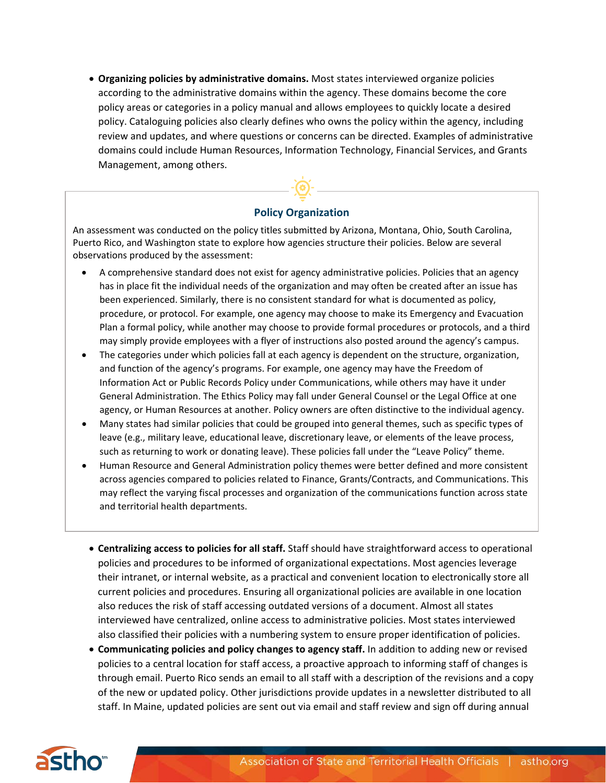• **Organizing policies by administrative domains.** Most states interviewed organize policies according to the administrative domains within the agency. These domains become the core policy areas or categories in a policy manual and allows employees to quickly locate a desired policy. Cataloguing policies also clearly defines who owns the policy within the agency, including review and updates, and where questions or concerns can be directed. Examples of administrative domains could include Human Resources, Information Technology, Financial Services, and Grants Management, among others.



### **Policy Organization**

An assessment was conducted on the policy titles submitted by Arizona, Montana, Ohio, South Carolina, Puerto Rico, and Washington state to explore how agencies structure their policies. Below are several observations produced by the assessment:

- A comprehensive standard does not exist for agency administrative policies. Policies that an agency has in place fit the individual needs of the organization and may often be created after an issue has been experienced. Similarly, there is no consistent standard for what is documented as policy, procedure, or protocol. For example, one agency may choose to make its Emergency and Evacuation Plan a formal policy, while another may choose to provide formal procedures or protocols, and a third may simply provide employees with a flyer of instructions also posted around the agency's campus.
- The categories under which policies fall at each agency is dependent on the structure, organization, and function of the agency's programs. For example, one agency may have the Freedom of Information Act or Public Records Policy under Communications, while others may have it under General Administration. The Ethics Policy may fall under General Counsel or the Legal Office at one agency, or Human Resources at another. Policy owners are often distinctive to the individual agency.
- Many states had similar policies that could be grouped into general themes, such as specific types of leave (e.g., military leave, educational leave, discretionary leave, or elements of the leave process, such as returning to work or donating leave). These policies fall under the "Leave Policy" theme.
- Human Resource and General Administration policy themes were better defined and more consistent across agencies compared to policies related to Finance, Grants/Contracts, and Communications. This may reflect the varying fiscal processes and organization of the communications function across state and territorial health departments.
	- **Centralizing access to policies for all staff.** Staff should have straightforward access to operational policies and procedures to be informed of organizational expectations. Most agencies leverage their intranet, or internal website, as a practical and convenient location to electronically store all current policies and procedures. Ensuring all organizational policies are available in one location also reduces the risk of staff accessing outdated versions of a document. Almost all states interviewed have centralized, online access to administrative policies. Most states interviewed also classified their policies with a numbering system to ensure proper identification of policies.
	- **Communicating policies and policy changes to agency staff.** In addition to adding new or revised policies to a central location for staff access, a proactive approach to informing staff of changes is through email. Puerto Rico sends an email to all staff with a description of the revisions and a copy of the new or updated policy. Other jurisdictions provide updates in a newsletter distributed to all staff. In Maine, updated policies are sent out via email and staff review and sign off during annual

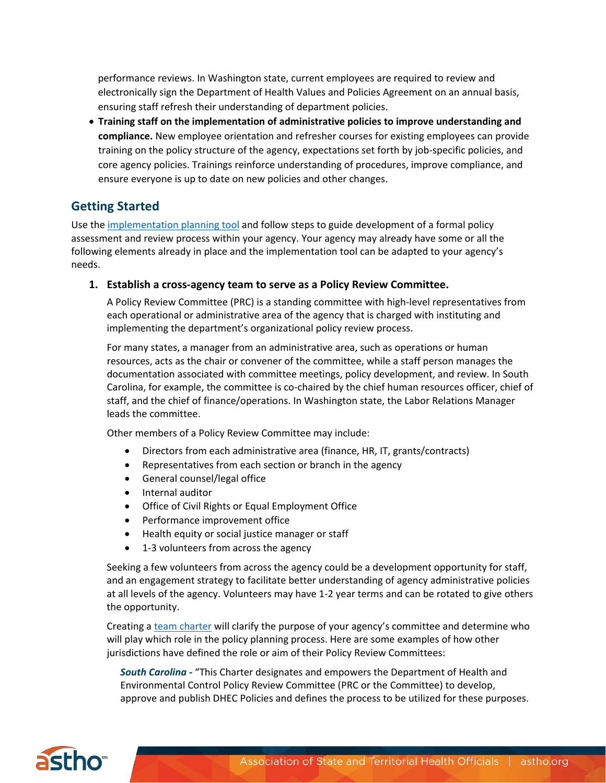performance reviews. In Washington state, current employees are required to review and electronically sign the Department of Health Values and Policies Agreement on an annual basis, ensuring staff refresh their understanding of department policies.

• **Training staff on the implementation of administrative policies to improve understanding and compliance.** New employee orientation and refresher courses for existing employees can provide training on the policy structure of the agency, expectations set forth by job-specific policies, and core agency policies. Trainings reinforce understanding of procedures, improve compliance, and ensure everyone is up to date on new policies and other changes.

## **Getting Started**

Use th[e implementation planning tool](https://www.astho.org/globalassets/pdf/accreditation/performance-gap-analysis/administrative-policy-gap-analysis-implementation-plan.xlsx) and follow steps to guide development of a formal policy assessment and review process within your agency. Your agency may already have some or all the following elements already in place and the implementation tool can be adapted to your agency's needs.

### **1. Establish a cross-agency team to serve as a Policy Review Committee.**

A Policy Review Committee (PRC) is a standing committee with high-level representatives from each operational or administrative area of the agency that is charged with instituting and implementing the department's organizational policy review process.

For many states, a manager from an administrative area, such as operations or human resources, acts as the chair or convener of the committee, while a staff person manages the documentation associated with committee meetings, policy development, and review. In South Carolina, for example, the committee is co-chaired by the chief human resources officer, chief of staff, and the chief of finance/operations. In Washington state, the Labor Relations Manager leads the committee.

Other members of a Policy Review Committee may include:

- Directors from each administrative area (finance, HR, IT, grants/contracts)
- Representatives from each section or branch in the agency
- General counsel/legal office
- Internal auditor
- Office of Civil Rights or Equal Employment Office
- Performance improvement office
- Health equity or social justice manager or staff
- 1-3 volunteers from across the agency

Seeking a few volunteers from across the agency could be a development opportunity for staff, and an engagement strategy to facilitate better understanding of agency administrative policies at all levels of the agency. Volunteers may have 1-2 year terms and can be rotated to give others the opportunity.

Creating a [team charter](https://www.astho.org/globalassets/pdf/accreditation/performance-gap-analysis/project-team-charter-template.docx) will clarify the purpose of your agency's committee and determine who will play which role in the policy planning process. Here are some examples of how other jurisdictions have defined the role or aim of their Policy Review Committees:

*South Carolina -* "This Charter designates and empowers the Department of Health and Environmental Control Policy Review Committee (PRC or the Committee) to develop, approve and publish DHEC Policies and defines the process to be utilized for these purposes.

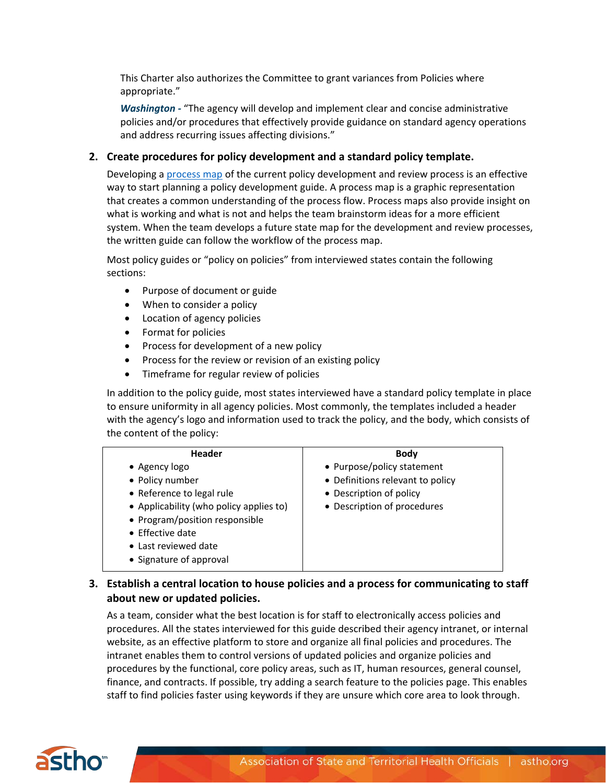This Charter also authorizes the Committee to grant variances from Policies where appropriate."

*Washington -* "The agency will develop and implement clear and concise administrative policies and/or procedures that effectively provide guidance on standard agency operations and address recurring issues affecting divisions."

### **2. Create procedures for policy development and a standard policy template.**

Developing a [process map](https://www.astho.org/globalassets/pdf/accreditation/performance-gap-analysis/process-map.docx) of the current policy development and review process is an effective way to start planning a policy development guide. A process map is a graphic representation that creates a common understanding of the process flow. Process maps also provide insight on what is working and what is not and helps the team brainstorm ideas for a more efficient system. When the team develops a future state map for the development and review processes, the written guide can follow the workflow of the process map.

Most policy guides or "policy on policies" from interviewed states contain the following sections:

- Purpose of document or guide
- When to consider a policy
- Location of agency policies
- Format for policies
- Process for development of a new policy
- Process for the review or revision of an existing policy
- Timeframe for regular review of policies

In addition to the policy guide, most states interviewed have a standard policy template in place to ensure uniformity in all agency policies. Most commonly, the templates included a header with the agency's logo and information used to track the policy, and the body, which consists of the content of the policy:

| <b>Header</b>                           | <b>Body</b>                      |
|-----------------------------------------|----------------------------------|
| • Agency $logo$                         | • Purpose/policy statement       |
| • Policy number                         | • Definitions relevant to policy |
| • Reference to legal rule               | • Description of policy          |
| • Applicability (who policy applies to) | • Description of procedures      |
| • Program/position responsible          |                                  |
| $\bullet$ Effective date                |                                  |
| • Last reviewed date                    |                                  |
| • Signature of approval                 |                                  |
|                                         |                                  |

## **3. Establish a central location to house policies and a process for communicating to staff about new or updated policies.**

As a team, consider what the best location is for staff to electronically access policies and procedures. All the states interviewed for this guide described their agency intranet, or internal website, as an effective platform to store and organize all final policies and procedures. The intranet enables them to control versions of updated policies and organize policies and procedures by the functional, core policy areas, such as IT, human resources, general counsel, finance, and contracts. If possible, try adding a search feature to the policies page. This enables staff to find policies faster using keywords if they are unsure which core area to look through.

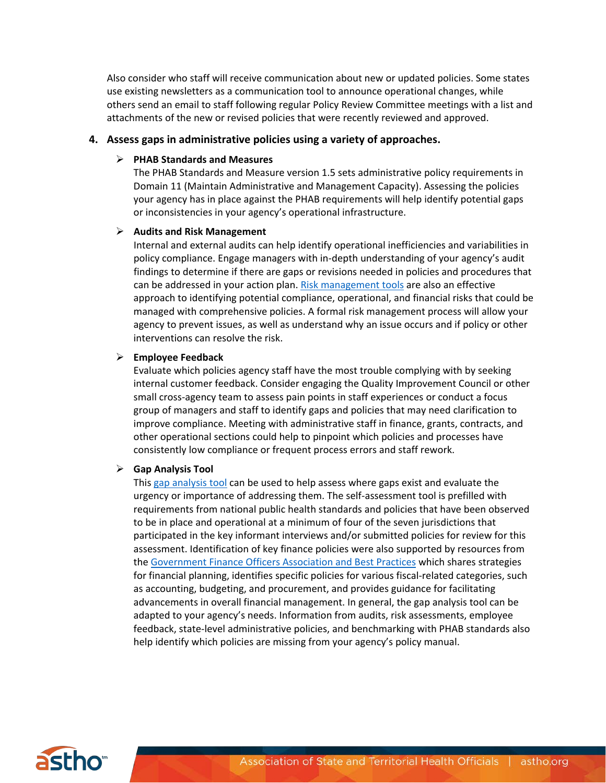Also consider who staff will receive communication about new or updated policies. Some states use existing newsletters as a communication tool to announce operational changes, while others send an email to staff following regular Policy Review Committee meetings with a list and attachments of the new or revised policies that were recently reviewed and approved.

#### **4. Assess gaps in administrative policies using a variety of approaches.**

#### **PHAB Standards and Measures**

The PHAB Standards and Measure version 1.5 sets administrative policy requirements in Domain 11 (Maintain Administrative and Management Capacity). Assessing the policies your agency has in place against the PHAB requirements will help identify potential gaps or inconsistencies in your agency's operational infrastructure.

#### **Audits and Risk Management**

Internal and external audits can help identify operational inefficiencies and variabilities in policy compliance. Engage managers with in-depth understanding of your agency's audit findings to determine if there are gaps or revisions needed in policies and procedures that can be addressed in your action plan. [Risk management tools](https://www.astho.org/globalassets/pdf/accreditation/performance-gap-analysis/risk-management-assessment-and-planning-tool.docx) are also an effective approach to identifying potential compliance, operational, and financial risks that could be managed with comprehensive policies. A formal risk management process will allow your agency to prevent issues, as well as understand why an issue occurs and if policy or other interventions can resolve the risk.

#### **Employee Feedback**

Evaluate which policies agency staff have the most trouble complying with by seeking internal customer feedback. Consider engaging the Quality Improvement Council or other small cross-agency team to assess pain points in staff experiences or conduct a focus group of managers and staff to identify gaps and policies that may need clarification to improve compliance. Meeting with administrative staff in finance, grants, contracts, and other operational sections could help to pinpoint which policies and processes have consistently low compliance or frequent process errors and staff rework.

#### **Gap Analysis Tool**

This [gap analysis tool](https://www.astho.org/globalassets/pdf/accreditation/performance-gap-analysis/administrative-policy-gap-analysis-workbook.xlsx) can be used to help assess where gaps exist and evaluate the urgency or importance of addressing them. The self-assessment tool is prefilled with requirements from national public health standards and policies that have been observed to be in place and operational at a minimum of four of the seven jurisdictions that participated in the key informant interviews and/or submitted policies for review for this assessment. Identification of key finance policies were also supported by resources from the [Government Finance Officers Association and Best Practices](https://www.gfoa.org/best-practices) which shares strategies for financial planning, identifies specific policies for various fiscal-related categories, such as accounting, budgeting, and procurement, and provides guidance for facilitating advancements in overall financial management. In general, the gap analysis tool can be adapted to your agency's needs. Information from audits, risk assessments, employee feedback, state-level administrative policies, and benchmarking with PHAB standards also help identify which policies are missing from your agency's policy manual.

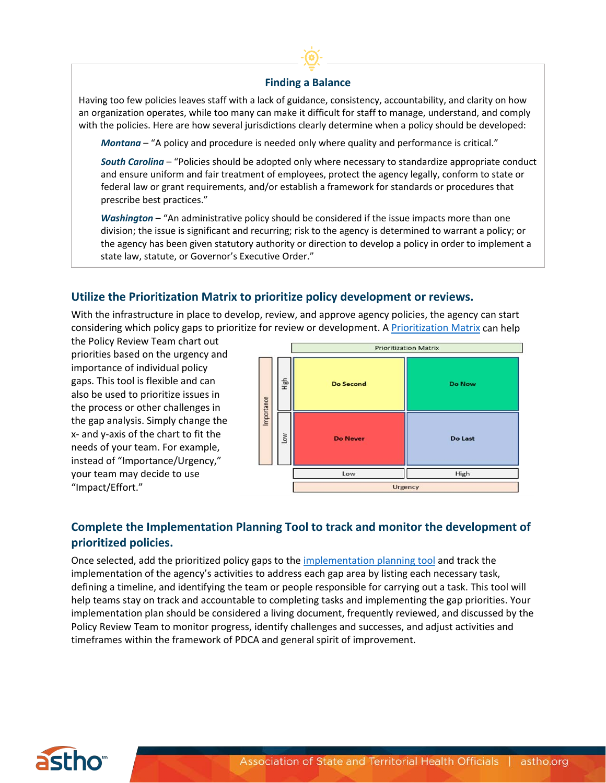### **Finding a Balance**

Having too few policies leaves staff with a lack of guidance, consistency, accountability, and clarity on how an organization operates, while too many can make it difficult for staff to manage, understand, and comply with the policies. Here are how several jurisdictions clearly determine when a policy should be developed:

*Montana* – "A policy and procedure is needed only where quality and performance is critical."

*South Carolina* – "Policies should be adopted only where necessary to standardize appropriate conduct and ensure uniform and fair treatment of employees, protect the agency legally, conform to state or federal law or grant requirements, and/or establish a framework for standards or procedures that prescribe best practices."

state law, statute, or Governor's Executive Order." *Washington* – "An administrative policy should be considered if the issue impacts more than one division; the issue is significant and recurring; risk to the agency is determined to warrant a policy; or the agency has been given statutory authority or direction to develop a policy in order to implement a

## **Utilize the Prioritization Matrix to prioritize policy development or reviews.**

With the infrastructure in place to develop, review, and approve agency policies, the agency can start considering which policy gaps to prioritize for review or development. [A Prioritization](https://www.astho.org/globalassets/pdf/accreditation/performance-gap-analysis/priority-matrix.docx) Matrix can help

the Policy Review Team chart out priorities based on the urgency and importance of individual policy gaps. This tool is flexible and can also be used to prioritize issues in the process or other challenges in the gap analysis. Simply change the x- and y-axis of the chart to fit the needs of your team. For example, instead of "Importance/Urgency," your team may decide to use "Impact/Effort."



## **Complete the Implementation Planning Tool to track and monitor the development of prioritized policies.**

Once selected, add the prioritized policy gaps to the [implementation planning tool](https://www.astho.org/globalassets/pdf/accreditation/performance-gap-analysis/administrative-policy-gap-analysis-implementation-plan.xlsx) and track the implementation of the agency's activities to address each gap area by listing each necessary task, defining a timeline, and identifying the team or people responsible for carrying out a task. This tool will help teams stay on track and accountable to completing tasks and implementing the gap priorities. Your implementation plan should be considered a living document, frequently reviewed, and discussed by the Policy Review Team to monitor progress, identify challenges and successes, and adjust activities and timeframes within the framework of PDCA and general spirit of improvement.